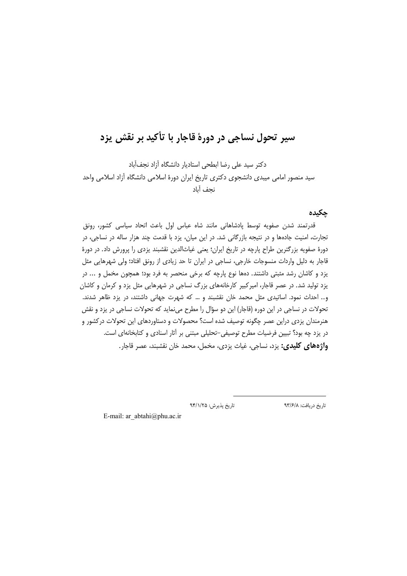# سیر تحول نساجی در دورهٔ قاجار با تأکید بر نقش یزد

دكتر سيد على رضا ابطحى استاديار دانشگاه آزاد نجفآباد سید منصور امامی میبدی دانشجوی دکتری تاریخ ایران دورهٔ اسلامی دانشگاه آزاد اسلامی واحد نجف آباد

حكىدە

قدرتمند شدن صفويه توسط پادشاهانی مانند شاه عباس اول باعث اتحاد سياسی كشور، رونق تجارت، امنیت جادهها و در نتیجه بازرگانی شد. در این میان، یزد با قدمت چند هزار ساله در نساجی، در دورهٔ صفویه بزرگترین طراح پارچه در تاریخ ایران؛ یعنی غیاثالدین نقشبند یزدی را پرورش داد. در دورهٔ قاجار به دلیل واردات منسوجات خارجی، نساجی در ایران تا حد زیادی از رونق افتاد؛ ولی شهرهایی مثل یزد و کاشان رشد مثبتی داشتند. دهها نوع پارچه که برخی منحصر به فرد بود؛ همچون مخمل و ... در یزد تولید شد. در عصر قاجار، امیرکبیر کارخانههای بزرگ نساجی در شهرهایی مثل یزد و کرمان و کاشان و.. احداث نمود. اساتیدی مثل محمد خان نقشبند و … که شهرت جهانی داشتند، در یزد ظاهر شدند. تحولات در نساجی در این دوره (قاجار) این دو سؤال را مطرح مینماید که تحولات نساجی در یزد و نقش هنرمندان یزدی دراین عصر چگونه توصیف شده است؟ محصولات و دستاوردهای این تحولات درکشور و در یزد چه بود؟ تبیین فرضیات مطرح توصیفی-تحلیلی مبتنی بر آثار اسنادی و کتابخانهای است. **واژههای کلیدی:** پزد، نساجی، غیاث پزدی، مخمل، محمد خان نقشبند، عصر قاجار.

> تاريخ پذيرش: ٩۴/١/٢۵ تاريخ دريافت: ٩٣/۶/٨

E-mail: ar  $abtahi@phu.ac.in$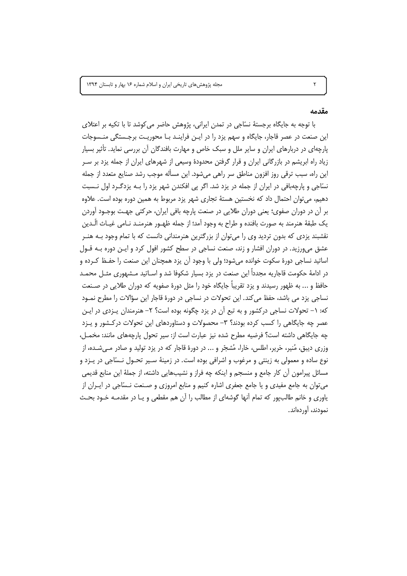#### مقدمه

با توجه به جایگاه برجستهٔ نسّاجی در تمدن ایرانی، پژوهش حاضر می کوشد تا با تکیه بر اعتلای این صنعت در عصر قاجار، جایگاه و سهم یزد را در ایـن فراینـد بـا محوریـت برجـستگی منـسوجات یارچهای در دربارهای ایران و سایر ملل و سبک خاص و مهارت بافندگان آن بررسی نماید. تأثیر بسیار زیاد راه ابریشم در بازرگانی ایران و قرار گرفتن محدودهٔ وسیعی از شهرهای ایران از جمله یزد بر سـر این راه، سبب ترقی روز افزون مناطق سر راهی میشود. این مسأله موجب رشد صنایع متعدد از جمله نسّاجی و پارچهبافی در ایران از جمله در یزد شد. اگر پی افکندن شهر یزد را بـه یزدگـرد اول نـسبت دهیم، می توان احتمال داد که نخستین هستهٔ تجاری شهر یزد مربوط به همین دوره بوده است. علاوه بر آن در دوران صفوي؛ يعني دوران طلايي در صنعت پارچه بافي ايران، حركتي جهت بوجــود آوردن يک طبقهٔ هنرمند به صورت بافنده و طراح به وجود آمد؛ از جمله ظهـور هنرمنـد نـامي غيـاث الّـدين نقشبند یزدی که بدون تردید وی را می توان از بزرگترین هنرمندانی دانست که با تمام وجود بـه هنـر عشق می ورزید. در دوران افشار و زند، صنعت نساجی در سطح کشور افول کرد و ایـن دوره بـه قـول اساتید نساجی دورهٔ سکوت خوانده میشود؛ ولی با وجود آن یزد همچنان این صنعت را حفـظ کـرده و در ادامهٔ حکومت قاجاریه مجدداً این صنعت در یزد بسیار شکوفا شد و اسـاتید مـشـهوری مثـل محمـد حافظ و ... به ظهور رسیدند و یزد تقریباً جایگاه خود را مثل دورهٔ صفویه که دوران طلایی در صـنعت نساجی یزد می باشد، حفظ می کند. این تحولات در نساجی در دورهٔ قاجار این سؤالات را مطرح نمـود که: ۱– تحولات نساجی درکشور و به تبع آن در یزد چگونه بوده است؟ ۲– هنرمندان پـزدی در ایـن عصر چه جایگاهی را کسب کرده بودند؟ ۳- محصولات و دستاوردهای این تحولات درکشور و پـزد چه جایگاهی داشته است؟ فرضیه مطرح شده نیز عبارت است از: سیر تحول پارچههای مانند: مخمـل، وزری دیبق، مُنیر، حَریر، اطلس، خارا، مُشجّر و ... در دورهٔ قاجار که در یزد تولید و صادر مـی شـده، از نوع ساده و معمولی به زینتی و مرغوب و اشرافی بوده است. در زمینهٔ سـیر تحـول نـسّاجی در یـزد و مسائل پیرامون آن کار جامع و منسجم و اینکه چه فراز و نشیبهایی داشته، از جملهٔ این منابع قدیمی می توان به جامع مفیدی و یا جامع جعفری اشاره کنیم و منابع امروزی و صـنعت نـسّاجی در ایــران از یاوری و خانم طالبٍیور که تمام اَنها گوشهای از مطالب را اَن هم مقطعی و یـا در مقدمـه خـود بحـث نمودند، آوردهاند.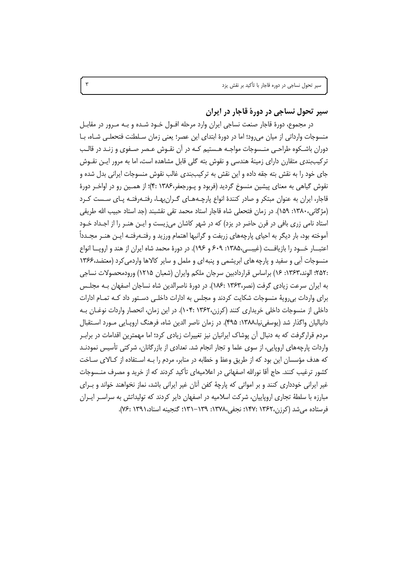**& -**

در مجموع، دورهٔ قاجار صنعت نساجی ایران وارد مرحله افــول خــود شــده و بــه مــرور در مقابــل منسوجات وارداتی از میان میرود؛ اما در دورهٔ ابتدای این عصر؛ یعنی زمان سـلطنت فتحعلـی شـاه، بــا دوران باشـكوه طراحـى منــسوجات مواجــه هــستيم كــه در آن نقــوش عـصر صــفوى و زنــد در قالــب ترکیببندی متقارن دارای زمینهٔ هندسی و نقوش بته گلی قابل مشاهده است، اما به مرور ایـن نقــوش جای خود را به نقش بته جقه داده و این نقش به ترکیببندی غالب نقوش منسوجات ایرانی بدل شده و نقوش گیاهی به معنای پیشین منسوخ گردید (فربود و پـورجعفر،۱۳۸۶ :۴)؛ از همـین رو در اواخـر دورهٔ قاجار، ایران به عنوان مبتکر و صادر کنندهٔ انواع پارچـههـای گـران.بهـا، رفتـهرفتـه پـای سـست کـرد (مژگانی،۱۳۸۰: ۱۵۹). در زمان فتحعلی شاه قاجار استاد محمد تقی نقشبند (جد استاد حبیب الله طریقی استاد نامی زری بافی در قرن حاضر در یزد) که در شهر کاشان میزیست و ایـن هنـر را از اجـداد خـود اًموخته بود، بار دیگر به احیای پارچههای زربفت و گرانبها اهتمام ورزید و رفتـهرفتـه ایــن هنــر مجــدداً اعتبـــار خـــود را بازيافــت (غيبـــى،١٣٨۵: ۶۰۹ و ١٩۶). در دورهٔ محمد شاه ايران از هند و اروپـــا انواع منسوجات آبی و سفید و پارچه های ابریشمی و پنبه ای و ململ و سایر کالاها واردمیکرد (معتضد،۱۳۶۶ :۲۵۲؛ الوند،۱۳۶۳: ۱۶) براساس قراردادبین سرجان ملکم وایران (شعبان ۱۲۱۵) ورودمحصولات نساجی به ایران سرعت زیادی گرفت (نصر،۱۳۶۳ :۱۸۶). در دورهٔ ناصرالدین شاه نساجان اصفهان بـه مجلـس برای واردات بیرویهٔ منسوجات شکایت کردند و مجلس به ادارات داخلـی دسـتور داد کــه تمــام ادارات داخلی از منسوجات داخلی خریداری کنند (کرزن،۱۳۶۲ :۱۰۴). در این زمان، انحصار واردات نوغــان بــه دانياليان واگذار شد (يوسفىنيا،١٣٨٨: ۴٩۵). در زمان ناصر الدين شاه، فرهنگ اروپــايى مــورد اســتقبال مردم قرارگرفت که به دنبال آن پوشاک ایرانیان نیز تغییرات زیادی کرد؛ اما مهمترین اقدامات در برابـر واردات پارچههای اروپایی، از سوی علما و تجار انجام شد. تعدادی از بازرگانان، شرکتی تأسیس نمودنـد که هدف مؤسسان این بود که از طریق وعظ و خطابه در منابر، مردم را بـه اسـتفاده از کـالای سـاخت کشور ترغیب کنند. حاج أقا نورالله اصفهانی در اعلامیهای تأکید کردند که از خرید و مصرف منــسوجات غیر ایرانی خودداری کنند و بر امواتی که پارچهٔ کفن آنان غیر ایرانی باشد، نماز نخواهند خواند و بــرای مبارزه با سلطهٔ تجاری اروپاییان، شرکت اسلامیه در اصفهان دایر کردند که تولیداتش به سراسـر ایــران فرستاده میشد (کرزن،۱۳۶۲ :۱۴۷ :۱۴۷ نجفی،۱۳۷۸: ۱۳۹–۱۳۱؛ گنجینه اسناد،۱۳۹۱ :۷۶).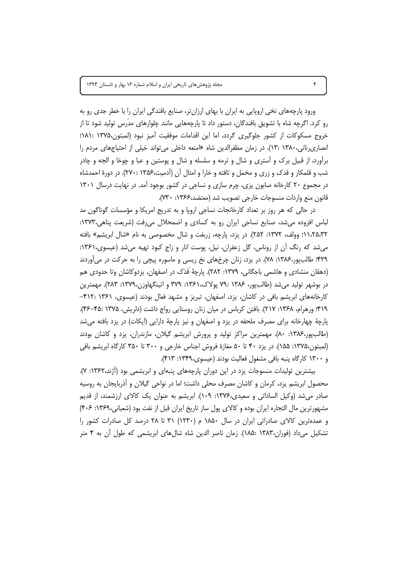ورود پارچههای نخی اروپایی به ایران با بهای ارزانتر، صنایع بافندگی ایران را با خطر جدی رو به رو کرد. اگرچه شاه با تشویق بافندگان، دستور داد تا پارچههایی مانند چلوارهای مدّرس تولید شود تا از خروج مسكوكات از كشور جلوگيري گردد، اما اين اقدامات موفقيت آميز نبود (لمبتون،۱۳۷۵ :۱۸۱۱؛ انصاری رنانی،۱۳۸۰ :۱۳). در زمان مظفرالدین شاه «امتعه داخلی می تواند خیلی از احتیاجهای مردم را برآورد، از قبیل برک و آستری و شال و ترمه و سلسله و شال و پوستین و عبا و چوخا و الجه و چادر شب و قلمکار و قدک و زری و مخمل و تافته و خارا و امثال آن (آدمیت،۱۳۵۶ :۲۷۰). در دورهٔ احمدشاه در مجموع ۲۰ کارخانه صابون یزی، چرم سازی و نساجی در کشور بوجود آمد. در نهایت درسال ۱۳۰۱ قانون منع واردات منسوجات خارجي تصويب شد (معتضد،۱۳۶۶: ۷۳۰).

در حالی که هر روز بر تعداد کارخانجات نساجی اروپا و به تدریج امریکا و مؤسسات گوناگون مد لباس افزوده می شد، صنایع نساجی ایران رو به کسادی و اضمحلال می رفت (شریعت پناهی،۱۳۷۳: ۱۱،۲۵،۳۲؛ وولف، ۱۳۷۲: ۲۵۲). در یزد، پارچه، زربفت و شال مخصوصی به نام «شال ابریشم» بافته میشد که رنگ آن از روناس، گل زعفران، نیل، پوست انار و زاج کبود تهیه میشد (عیسوی،۱۳۶۱: ۴۲۹؛ طالبپور،۱۳۸۶: ۷۸). در یزد، زنان چرخهای نخ ریسی و ماسوره پیچی را به حرکت در می آوردند (دهقان منشادی و هاشمی باجگانی، ۱۳۷۹: ۲۸۲). پارچهٔ قَدَک در اصفهان، پزدوکاشان وتا حدودی هم در بوشهر تولید می شد (طالب ور، ۱۳۸۶ :۷۹ پولاک،۱۳۶۱: ۳۷۹ و اتینگهاوزن،۱۳۷۹: ۲۸۳). مهمترین کارخانههای ابریشم بافی در کاشان، یزد، اصفهان، تبریز و مشهد فعال بودند (عیسوی، ۱۳۶۱ : ۴۱۲-۴۱۹؛ ورهرام، ۱۳۶۸: ۲۱۷). بافتن کرباس در میان زنان روستایی رواج داشت (دلریش، ۱۳۷۵ :۴۵-۴۶). پارچهٔ چهارخانه برای مصرف ملحفه در یزد و اصفهان و نیز پارچهٔ دارایی (ایکات) در یزد بافته میشد (طالبپور،۱۳۸۶: ۸۰). مهمترین مراکز تولید و پرورش ابریشم گیلان، مازندران، یزد و کاشان بودند (لمبتون،۱۳۷۵: ۱۵۵). در یزد ۴۰ تا ۵۰ مغازهٔ فروش اجناس خارجی و ۳۰۰ تا ۳۵۰ کارگاه ابریشم بافی و ۱۳۰۰ کارگاه پنبه بافی مشغول فعالیت بودند (عیسوی،۱۳۴۹: ۴۱۳).

بیشترین تولیدات منسوجات یزد در این دوران پارچههای پنبهای و ابریشمی بود (اَژند،۱۳۶۲: ۷). محصول ابریشم یزد، کرمان و کاشان مصرف محلی داشت؛ اما در نواحی گیلان و اَذربایجان به روسیه صادر می شد (وکیل الساداتی و سعیدی،۱۳۷۶: ۱۰۹). ابریشم به عنوان یک کالای ارزشمند، از قدیم مشهورترین مال التجاره ایران بوده و کالای پول ساز تاریخ ایران قبل از نفت بود (شعبانی،۱۳۶۹: ۴۰۶) و عمدهترین کالای صادراتی ایران در سال ۱۸۵۰ م (۱۲۳۰) ۳۱ تا ۲۸ درصد کل صادرات کشور را تشکیل میداد (فوران،۱۳۸۳ :۱۸۵). زمان ناصر الدین شاه شالهای ابریشمی که طول آن به ۴ متر

۴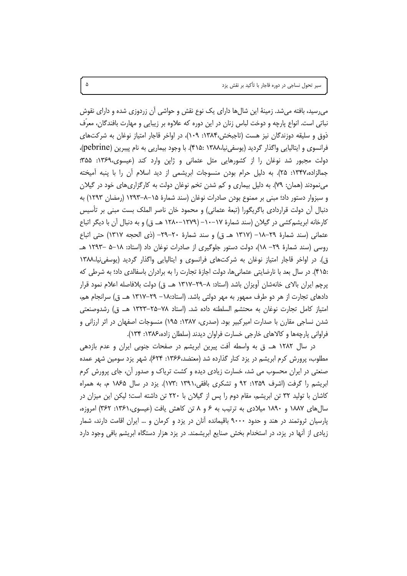سیر تحول نساجی در دوره قاجار با تأکید بر نقش یزد

میرسید، بافته میشد. زمینهٔ این شالها دارای یک نوع نقش و حواشی آن زردوزی شده و دارای نقوش نباتی است. انواع پارچه و دوخت لباس زنان در این دوره که علاوه بر زیبایی و مهارت بافندگان، معرّف ذوق و سلیقه دوزندگان نیز هست (تاجبخش،۱۳۸۴: ۱۰۹)، در اواخر قاجار امتیاز نوغان به شرکتهای فرانسوی و ایتالیایی واگذار گردید (یوسفینیا،۱۳۸۸ :۴۱۵). با وجود بیماریی به نام پیبرین (pebrine)، دولت مجبور شد نوغان را از کشورهایی مثل عثمانی و ژاپن وارد کند (عیسوی،۱۳۶۹، ۳۵۵؛ جمالزاده،۱۳۴۷: ۲۵). به دلیل حرام بودن منسوجات ابریشمی از دید اسلام اُن را با پنبه اَمیخته مینمودند (همان: ۷۹). به دلیل بیماری و کم شدن تخم نوغان دولت به کارگزاریهای خود در گیلان و سبزوار دستور داد؛ مبنی بر ممنوع بودن صادرات نوغان (سند شمارهٔ ۱۵–۸–۱۲۹۳ (رمضان ۱۲۹۳) به دنبال أن دولت قراردادی باگریگورا (تبعهٔ عثمانی) و محمود خان ناصر الملک بست مبنی بر تأسیس کارخانه ابریشم کشی در گیلان (سند شمارهٔ ۱۷–۱۰–۱۲۷۹–۱۲۸۰ هـ. ق) و به دنبال آن با دیگر اتباع عثماني (سند شمارة ٢٩–١٨– (١٣١٧ هـ ق) و سند شمارة ٢٠–٢٩– (ذي الحجه ١٣١٧) حتى اتباع روسی (سند شمارهٔ ۲۹– ۱۸)، دولت دستور جلوگیری از صادرات نوغان داد (استاد: ۱۸–۵ –۱۲۹۳ هـ ق). در اواخر قاجار امتیاز نوغان به شرکتهای فرانسوی و ایتالیایی واگذار گردید (یوسفی نیا،۱۳۸۸ :۴۱۵). در سال بعد با نارضایتی عثمانیها، دولت اجازهٔ تجارت را به برادران باسفالدی داد؛ به شرطی که پرچم ایران بالای خانەشان آویزان باشد (استاد: ۸–۲۹–۱۳۱۷ هـ. ق) دولت بلافاصله اعلام نمود قرار دادهای تجارت از هر دو طرف ممهور به مهر دولتی باشد. (استاد:۱۸– ۲۹–۱۳۱۷ هـ. ق) سرانجام هم، امتياز كامل تجارت نوغان به محتشم السلطنه داده شد. (استاد ٧٨–٢٥–١٣٢٣ هـ. ق) رشدوصنعتي شدن نساجی مقارن با صدارت امیرکبیر بود. (صدری، ۱۳۸۷: ۱۹۵) منسوجات اصفهان در اثر ارزانی و فراواني يارچهها و كالاهاي خارجي خسارت فراوان ديدند (سلطان زاده،۱۳۸۶: ۱۳۴).

در سال ۱۲۸۲ هـ. ق به واسطه آفت پیرین ابریشم در صفحات جنوبی ایران و عدم بازدهی مطلوب، پرورش کرم ابریشم در یزد کنار گذارده شد (معتضد،۱۳۶۶: ۶۲۴). شهر یزد سومین شهر عمده صنعتی در ایران محسوب می شد، خسارت زیادی دیده و کشت تریاک و صدور آن، جای پرورش کرم ابریشم را گرفت (اشرف ۱۳۵۹: ۹۲ و تشکری بافقی،۱۳۹۱ :۱۷۳). یزد در سال ۱۸۶۵ م، به همراه کاشان با تولید ٣٢ تن ابریشم، مقام دوم را پس از گیلان با ٢٢٠ تن داشته است؛ لیکن این میزان در سال های ۱۸۸۷ و ۱۸۹۰ میلادی به ترتیب به ۶ و ۸ تن کاهش یافت (عیسوی،۱۳۶۱: ۳۶۲) امروزه، پارسیان ثروتمند در هند و حدود ۹۰۰۰ باقیمانده آنان در یزد و کرمان و … ایران اقامت دارند، شمار زیادی از آنها در یزد، در استخدام بخش صنایع ابریشمند. در یزد هزار دستگاه ابریشم بافی وجود دارد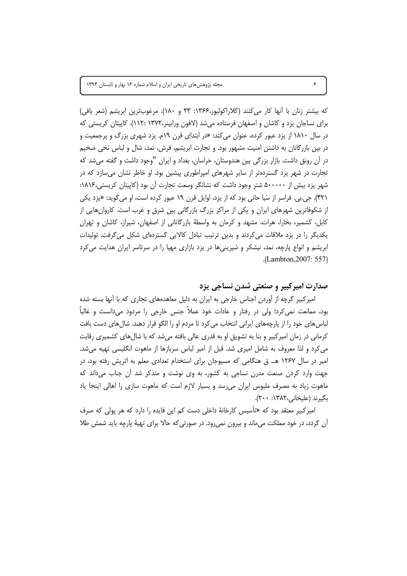كه بيشتر زنان با أنها كار مى كنند (كلاراكوليور،۱۳۶۶: ۲۳ و ۱۸۰). مرغوبترين ابريشم (شعر بافى) برای نساجان یزد و کاشان و اصفهان فرستاده می شد (لافون ورابینر،۱۳۷۲ :۱۱۲). کاپیتان کریستی که در سال ۱۸۱۰ از یزد عبور کرده، عنوان میکند: «در ابتدای قرن ۱۹م. یزد شهری بزرگ و پرجمعیت و در بین بازرگانان به داشتن امنیت مشهور بود. و تجارت ابریشم، فرش، نمد، شال و لباس نخی ضخیم در آن رونق داشت. بازار بزرگی بین هندوستان، خراسان، بغداد و ایران "وجود داشت و گفته می شد که تجارت در شهر یزد گستردهتر از سایر شهرهای امپراطوری پیشین بود. او خاطر نشان میسازد که در شهر یزد بیش از ۵۰۰۰۰۰ شتر وجود داشت که نشانگر وسعت تجارت آن بود (کاپیتان کریستی،۱۸۱۶: ۴۲۱). جي.بي. فراسر از سّيا حاني بود که از يزد، اوايل قرن ۱۹ عبور کرده است، او مي گويد: «يزد يکي از شکوفاترین شهرهای ایران و یکی از مراکز بزرگ بازرگانی بین شرق و غرب است. کاروانهایی از کابل، کشمیر، بخارا، هرات، مشهد و کرمان به واسطهٔ بازرگانانی از اصفهان، شیراز، کاشان و تهران یکدیگر را در یزد ملاقات میکردند و بدین ترتیب تبادل کالایی گستردهای شکل میگرفت. تولیدات ابریشم و انواع پارچه، نمد، نیشکر و شیرینیها در یزد بازاری مهیا را در سرتاسر ایران هدایت می کرد .(Lambton, 2007: 557)

### صدارت اميركبير و صنعتي شدن نساجي يزد

امیرکبیر گرچه از آوردن اجناس خارجی به ایران به دلیل معاهدههای تجاری که با آنها بسته شده بود، ممانعت نمي کرد؛ ولي در رفتار و عادات خود عملاً جنس خارجي را مردود مي دانست و غالباً لباس های خود را از پارچههای ایرانی انتخاب می کرد تا مردم او را الگو قرار دهند. شال های دست بافت کرمانی در زمان امیرکبیر و بنا به تشویق او به قدری عالی بافته میشد که با شالهای کشمیری رقابت می کرد و لذا معروف به شامل امیری شد. قبل از امیر لباس سربازها از ماهوت انگلیسی تهیه میشد. امیر در سال ۱۲۶۷ هـ. ق هنگامی که مسیوجان برای استخدام تعدادی معلم به اتریش رفته بود، در جهت وارد کردن صنعت مدرن نساجی به کشور، به وی نوشت و متذکر شد آن جناب می داند که ماهوت زیاد به مصرف ملبوس ایران می رسد و بسیار لازم است که ماهوت سازی را اهالی اینجا یاد بگيرند (عليخاني،١٣٨٢: ٢٠٠).

امیرکبیر معتقد بود که «تأسیس کارخانهٔ داخلی دست کم این فایده را دارد که هر پولی که صرف آن گردد، در خود مملکت می،ماند و بیرون نمی،رود. در صورتی که حالا برای تهیهٔ پارچه باید شمش طلا

 $\mathcal{S}$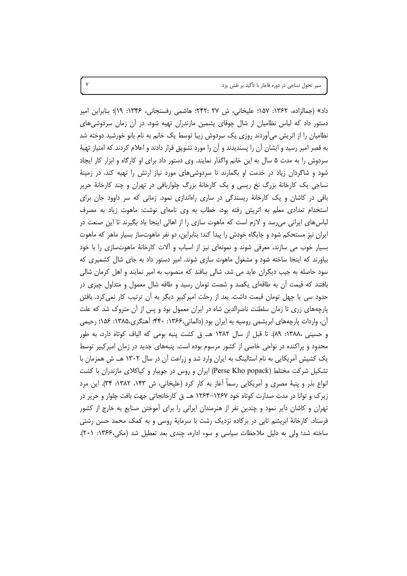سیر تحول نساجی در دوره قاجار با تأکید بر نقش یزد

داد» (جمالزاده، ۱۳۶۲: ۱۵۷؛ علیخانی، ش ۲۷ :۲۴۲؛ هاشمی رفسنجانی، ۱۳۴۶: ۱۹)؛ بنابراین امیر دستور داد که لباس نظامیان از شال چوقای پشمین مازندران تهیه شود. در آن زمان سردوشی های نظامیان را از اتریش میآوردند روزی یک سردوش زیبا توسط یک خانم به نام بانو خورشید دوخته شد به قصر امیر رسید و ایشان آن را پسندیدند و آن را مورد تشویق قرار دادند و اعلام کردند که امتیاز تهیهٔ سردوش را به مدت ۵ سال به این خانم واگذار نمایند. وی دستور داد برای او کارگاه و ابزار کار ایجاد شود و شاگردان زیاد در خدمت او بگمارند تا سردوشیهای مورد نیاز ارتش را تهیه کند. در زمینهٔ نساجی یک کارخانهٔ بزرگ نخ ریسی و یک کارخانهٔ بزرگ چلواربافی در تهران و چند کارخانهٔ حریر بافی در کاشان و یک کارخانهٔ ریسندگی در ساری راهاندازی نمود. زمانی که سر داوود جان برای استخدام تعدادی معلم به اتریش رفته بود، خطاب به وی نامهای نوشت: ماهوت زیاد به مصرف لباسهای ایرانی میرسد و لازم است که ماهوت سازی را از اهالی اینجا یاد بگیرند تا این صنعت در ایران نیز مستحکم شود و جایگاه خودش را پیدا کند؛ بنابراین، دو نفر ماهوتساز بسیار ماهر که ماهوت بسیار خوب می سازند، معرفی شوند و نمونهای نیز از اسباب و آلات کارخانهٔ ماهوتسازی را با خود بیاورند که اینجا ساخته شود و مشغول ماهوت سازی شوند. امیر دستور داد به جای شال کشمیری که سود حاصله به جیب دیگران عاید می شد، شالی ببافند که منصوب به امیر نمایند و اهل کرمان شالی بافتند که قیمت اُن به طاقهای یکصد و شصت تومان رسید و طاقه شال معمول و متداول چیزی در حدود سی یا چهل تومان قیمت داشت. بعد از رحلت امیرکبیر دیگر به اّن ترتیب کار نمی کرد. بافتن پارچههای زری تا زمان سلطنت ناصرالدین شاه در ایران معمول بود و پس از آن متروک شد که علت آن، واردات پارچههای ابریشمی روسیه به ایران بود (دالمانی،۱۳۶۶: ۴۴۰؛ آهنگری،۱۳۸۵: ۱۵۶؛ رحیمی و حسيني ،١٣٨٨: ٨٩). تا قبل از سال ١٢٨٢ هـ. ق كشت پنبه بومي كه الياف كوتاه دارد، به طور محدود و پراکنده در نواحی خاصی از کشور مرسوم بوده است. پنبههای جدید در زمان امیرکبیر توسط یک کشیش آمریکایی به نام استالینگ به ایران وارد شد و زراعت آن در سال ۱۳۰۲ هـ. ش همزمان با تشکیل شرکت مختلط (Perse Kho popack) ایران و روس در جویبار و کیاکلای مازندران با کشت انواع بذر و پنبهٔ مصری و اَمریکایی رسماً اَغاز به کار کرد (علیخانی، ش ۱۴۳، ۱۳۸۲: ۳۴). این مرد زیرک و توانا در مدت صدارت کوتاه خود ۱۲۶۷–۱۲۶۴ هـ. ق کارخانجاتی جهت بافت چلوار و حریر در تهران و کاشان دایر نمود و چندین نفر از هنرمندان ایرانی را برای آموختن صنایع به خارج از کشور فرستاد. کارخانهٔ ابریشم تابی در برکاده نزدیک رشت با سرمایهٔ روسی و به کمک محمد حسن رشتی ساخته شد؛ ولی به دلیل ملاحظات سیاسی و سوء اداره، چندی بعد تعطیل شد (مکی، ۱۳۶۶: ۲۰۱).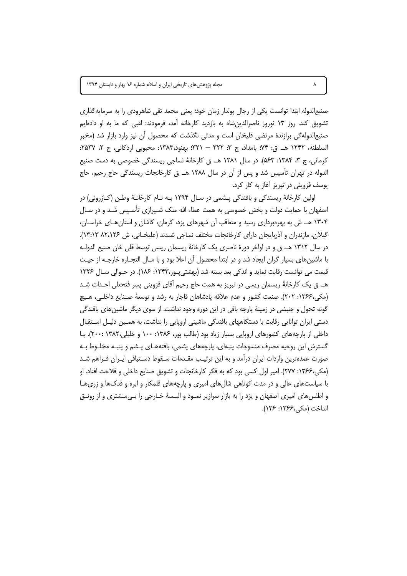صنیع|لدوله ابتدا توانست یکی از رجال پولدار زمان خود؛ یعنی محمد تقی شاهرودی را به سرمایه گذاری تشویق کند. روز ۱۳ نوروز ناصرالدین شاه به بازدید کارخانه آمد، فرمودند: لقبی که ما به او دادهایم صنیع|لدوله گی برازندهٔ مرتضی قلیخان است و مدتی نگذشت که محصول آن نیز وارد بازار شد (مخبر السلطنه، ١٢۴٢ هـ. ق: ٧۴؛ بامداد، ج ٣: ٣٢٢ – ٣٢١؛ بهنود،١٣٨٣: محبوبي اردكاني، ج ٢، ٢٥٣٧: کرمانی، ج ۳، ۱۳۸۴: ۵۶۳). در سال ۱۲۸۱ هـ. ق کارخانهٔ نساجی ریسندگی خصوصی به دست صنیع الدوله در تهران تأسیس شد و پس از آن در سال ۱۲۸۸ هـ. ق کارخانجات ریسندگی حاج رحیم، حاج يوسف قزويني در تبريز آغاز به كار كرد.

اولین کارخانهٔ ریسندگی و بافندگی پـشمی در سـال ۱۲۹۴ بـه نـام کارخانـهٔ وطـن (کـازرونی) در اصفهان با حمایت دولت و بخش خصوصی به همت عطاء الله ملک شـیرازی تأسـیس شـد و در سـال ۱۳۰۴ هــ ش به بهرهبرداری رسید و متعاقب آن شهرهای یزد، کرمان، کاشان و استان هـای خراسـان، گیلان، مازندران و آذربایجان دارای کارخانجات مختلف نساجی شـدند (علیخـانی، ش ۸۲،۱۲۶ ۱۳:۱۳). در سال ۱۳۱۲ هـ. ق و در اواخر دورهٔ ناصری یک کارخانهٔ ریسمان ریسی توسط قلی خان صنیع الدولـه با ماشین های بسیار گران ایجاد شد و در ابتدا محصول آن اعلا بود و با مـال التجـاره خارجـه از حیـث قیمت می توانست رقابت نماید و اندکی بعد بسته شد (بهشتی پور،۱۳۴۳: ۱۸۶). در حـوالی سـال ۱۳۲۶ هـ. ق يک کارخانهٔ ريسمان ريسي در تبريز به همت حاج رحيم اُقاي قزويني پسر فتحعلي احـداث شـد (مکی،۱۳۶۶: ۲۰۲). صنعت کشور و عدم علاقه یادشاهان قاجار به رشد و توسعهٔ صـنایع داخلـی، هـیچ گونه تحول و جنبشی در زمینهٔ پارچه بافی در این دوره وجود نداشت. از سوی دیگر ماشین های بافندگی دستی ایران توانایی رقابت با دستگاههای بافندگی ماشینی اروپایی را نداشت، به همـین دلیـل اسـتقبال داخلی از پارچههای کشورهای اروپایی بسیار زیاد بود (طالب پور، ۱۳۸۶: ۱۰۰ و خلیلی،۱۳۸۲: ۲۰۰۰). بـا گسترش این روحیه مصرف منسوجات پنبهای، پارچههای پشمی، بافتههـای پـشم و پنبـه مخلـوط بـه صورت عمدهترین واردات ایران درآمد و به این ترتیب مقـدمات سـقوط دسـتبافی ایـران فـراهم شـد (مکی،۱۳۶۶: ۲۷۷). امیر اول کسی بود که به فکر کارخانجات و تشویق صنایع داخلی و فلاحت افتاد. او با سیاستهای عالی و در مدت کوتاهی شالهای امیری و پارچههای قلمکار و ابره و قدکها و زریها و اطلسهای امیری اصفهان و یزد را به بازار سرازیر نمـود و البـسهٔ خـارجی را بـی۰مشتری و از رونـق انداخت (مكى،١٣۶۶: ١٣۶).

 $\pmb{\lambda}$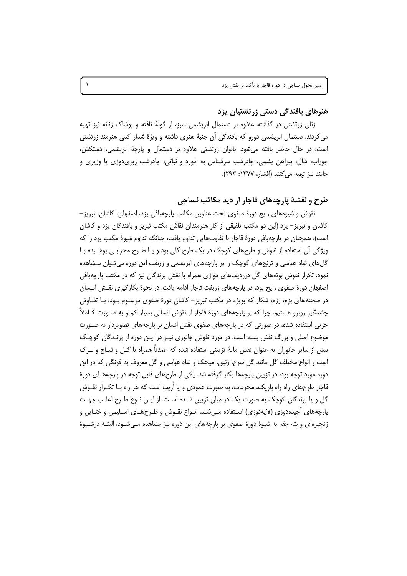## هنرهای بافندگی دستی زرتشتیان پزد

زنان زرتشتی در گذشته علاوه بر دستمال ابریشمی سبز، از گونهٔ تافته و پوشاک زنانه نیز تهیه میکردند. دستمال ابریشمی دورو که بافندگی آن جنبهٔ هنری داشته و ویژهٔ شمار کمی هنرمند زرتشتی است، در حال حاضر بافته می شود. بانوان زرتشتی علاوه بر دستمال و پارچهٔ ابریشمی، دستکش، جوراب، شال، پیراهن پشمی، چادرشب سرشناس به خورد و نباتی، چادرشب زبریدوزی یا وزیری و جابند نيز تهيه مي كنند (افشار، ١٣٧٧: ٢٩٣).

## طرح و نقشهٔ پارچههای قاجار از دید مکاتب نساجی

نقوش و شیوههای رایج دورهٔ صفوی تحت عناوین مکاتب پارچهبافی یزد، اصفهان، کاشان، تبریز – کاشان و تبریز– یزد (این دو مکتب تلفیقی از کار هنرمندان نقاش مکتب تبریز و بافندگان یزد و کاشان است)، همچنان در پارچهبافی دورهٔ قاجار با تفاوتهایی تداوم یافت، چنانکه تداوم شیوهٔ مکتب پزد را که ویژگی آن استفاده از نقوش و طرحهای کوچک در یک طرح کلی بود و یـا طـرح محرابـی پوشـیده بـا گل های شاه عباسی و ترنجهای کوچک را بر پارچههای ابریشمی و زربفت این دوره میتوان مـشاهده نمود. تکرار نقوش بوتههای گل درردیفهای موازی همراه با نقش پرندگان نیز که در مکتب پارچهبافی اصفهان دورهٔ صفوی رایج بود، در پارچههای زربفت قاجار ادامه یافت. در نحوهٔ بکارگیری نقـش انـسان در صحنههای بزم، رزم، شکار که بویژه در مکتب تبریز– کاشان دورهٔ صفوی مرسـوم بـود، بــا تفــاوتی چشمگیر روبرو هستیم، چرا که بر پارچههای دورهٔ قاجار از نقوش انسانی بسیار کم و به صـورت کــاملاً جزیی استفاده شده، در صورتی که در پارچههای صفوی نقش انسان بر پارچههای تصویردار به صـورت موضوع اصلی و بزرگ نقش بسته است. در مورد نقوش جانوری نیـز در ایـن دوره از پرنـدگان کوچـک بیش از سایر جانوران به عنوان نقش مایهٔ تزیینی استفاده شده که عمدتاً همراه با گــل و شــاخ و بــرگ است و انواع مختلف گل مانند گل سرخ، زنبق، میخک و شاه عباسی و گل معروف به فرنگی که در این دوره مورد توجه بود، در تزیین پارچهها بکار گرفته شد. یکی از طرحهای قابل توجه در پارچههـای دورهٔ قاجار طرحهای راه راه باریک، محرمات، به صورت عمودی و یا اُریب است که هر راه بـا تکـرار نقـوش گل و یا پرندگان کوچک به صورت یک در میان تزیین شـده اسـت. از ایـن نـوع طـرح اغلـب جهـت پارچههای اّجیدهدوزی (لایهدوزی) اسـتفاده مـی٬شـد. انـواع نقـوش و طـرحهـای اسـلیمی و ختـایی و زنجیرهای و بته جقه به شیوهٔ دورهٔ صفوی بر پارچههای این دوره نیز مشاهده مـیشـود، البتـه درشـیوهٔ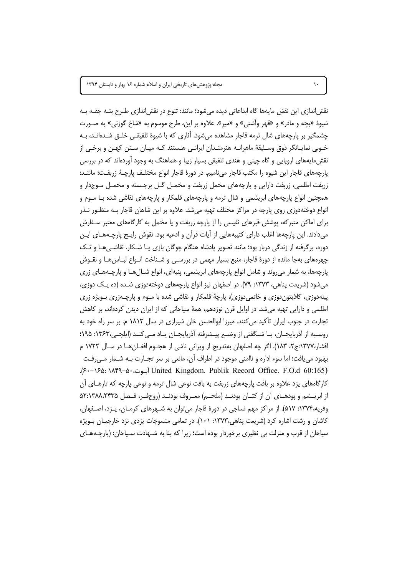نقش|ندازی این نقش مایهها گاه ابداعاتی دیده میشود؛ مانند: تنوع در نقش|ندازی طـرح بتـه جقـه بـه شيوهٔ «بچه و مادر» و «قهر وآشتی» و «مير». علاوه بر اين، طرح موسوم به «شاخ گوزنی» به صـورت چشمگیر بر پارچههای شال ترمه قاجار مشاهده می شود. آثاری که با شیوهٔ تلفیقـی خلـق شـدهانـد، بـه خـوبي نمايـانگر ذوق وسـليقهٔ ماهرانـه هنرمنـدان ايرانـي هـستند كـه ميـان سـنن كهـن و برخـي از نقش،مایههای اروپایی و گاه چینی و هندی تلفیقی بسیار زیبا و هماهنگ به وجود آوردهاند که در بررسی پارچههای قاجار این شیوه را مکتب قاجار مینامیم. در دورهٔ قاجار انواع مختلـف پارچـهٔ زربفـت؛ ماننـد: زربفت اطلسی، زربفت دارایی و پارچههای مخمل زربفت و مخمـل گـل برجـسته و مخمـل مـوجدار و همچنین انواع پارچههای ابریشمی و شال ترمه و پارچههای قلمکار و پارچههای نقاشی شده بـا مـوم و انواع دوختهدوزی روی پارچه در مراکز مختلف تهیه میشد. علاوه بر این شاهان قاجار بـه منظـور نـذر برای اماکن متبرکه، پوشش قبرهای نفیسی را از پارچه زربفت و یا مخمل به کارگاههای معتبر سـفارش میدادند. این پارچهها اغلب دارای کتیبههایی از آیات قرآن و ادعیه بود. نقوش رایـج پارچـههـای ایـن دوره، برگرفته از زندگی دربار بود؛ مانند تصویر پادشاه هنگام چوگان بازی یـا شـکار. نقاشـی هـا و تـک چهرههای بهجا مانده از دورهٔ قاجار، منبع بسیار مهمی در بررسـی و شـناخت انـواع لبـاسهـا و نقـوش پارچهها، به شمار می روند و شامل انواع پارچههای ابریشمی، پنبهای، انواع شـالهـا و پارچـههـای زری میشود (شریعت پناهی، ۱۳۷۳: ۷۹). در اصفهان نیز انواع پارچههای دوختهدوزی شـده (ده یـک دوزی، پیلهدوزی، گلابتوندوزی و خاتمیدوزی)، پارچهٔ قلمکار و نقاشی شده با مـوم و پارچـهزری بـویژه زری اطلسی و دارایی تهیه میشد. در اوایل قرن نوزدهم، همهٔ سیاحانی که از ایران دیدن کردهاند، بر کاهش تجارت در جنوب ایران تأکید می کنند. میرزا ابوالحسن خان شیرازی در سال ۱۸۱۳ م. بر سر راه خود به روسيه از آذربايجــان، بــا شــگفتى از وضــع پيــشرفته آذربايجــان يــاد مــى كنــد (ايلچــى،١٣۶٣: ١٩٥: افشار،۱۳۷۷:ج۲، ۱۸۳). اگر چه اصفهان بهتدریج از ویرانی ناشی از هجـوم افغـانهـا در سـال ۱۷۲۲ م بهبود مي يافت؛ اما سوء اداره و ناامني موجود در اطراف أن، مانعي بر سر تجــارت بــه شــمار مــيرفــت United Kingdom. Publik Record Office. F.O.d 60:165) آبوت، ١٨٤٩–١۶٠. کارگاههای یزد علاوه بر بافت پارچههای زربفت به بافت نوعی شال ترمه و نوعی پارچه که تارهـای آن از ابریــشم و یودهــای آن از کتــان بودنــد (ملحــم) معــروف بودنــد (روحفــر، فــصل ۵۲:۱۳۸۸،۲۴۳۵ وفريه،١٣٧۴: ۵١٧). از مراكز مهم نساجي در دورهٔ قاجار مي توان به شــهرهاي كرمـان، پـزد، اصــفهان، کاشان و رشت اشاره کرد (شریعت پناهی،۱۳۷۳: ۱۰۱). در تمامی منسوجات یزدی نزد خارجیـان بـویژه سیاحان از قرب و منزلت بی نظیری برخوردار بوده است؛ زیرا که بنا به شـهادت سـیاحان: (پارچـههـای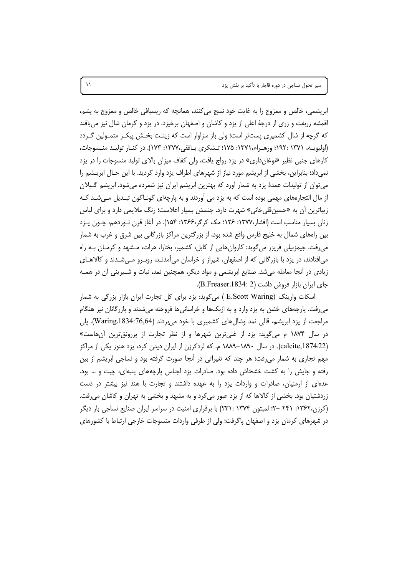ابریشمی، خالص و ممزوج را به غایت خود نسج می کنند، همانچه که ریسبافی خالص و ممزوج به پشم، اقمشه زربفت و زری از درجهٔ اعلی از یزد و کاشان و اصفهان برخیزد. در یزد و کرمان شال نیز می بافند که گرچه از شال کشمیری پستتر است؛ ولی باز سزاوار است که زینـت بخـش پیکـر متمـولین گـردد (اولیویـه، ۱۳۷۱: ۱۹۲۰؛ ورهـرام،۱۳۷۱: ۱۷۵؛ تـشکری بـافقی،۱۳۷۷: ۱۷۳). در کنـار تولیـد منـسوجات، کارهای جنبی نظیر «نوغانداری» در یزد رواج یافت، ولی کفاف میزان بالای تولید منسوجات را در یزد نمیداد؛ بنابراین، بخشی از ابریشم مورد نیاز از شهرهای اطراف یزد وارد گردید. با این حـال ابریــشم را می توان از تولیدات عمدهٔ یزد به شمار آورد که بهترین ابریشم ایران نیز شمرده می شود. ابریشم گـیلان از مال التجارههای مهمی بوده است که به یزد می آوردند و به پارچهای گونـاگون تبـدیل مـی.شـد کـه زیباترین أن به «حسینقلیخانی» شهرت دارد. جنسش بسیار اعلاست؛ رنگ ملایمی دارد و برای لباس زنان بسیار مناسب است (افشار،۱۳۷۷: ۱۲۶؛ مک کرگر،۱۳۶۶: ۱۵۴). در آغاز قرن نـوزدهم، چـون پـزد بین راههای شمال به خلیج فارس واقع شده بود، از بزرگترین مراکز بازرگانی بین شرق و غرب به شمار می رفت. جیمزبیلی فریزر می گوید: کاروان هایی از کابل، کشمیر، بخارا، هرات، مـشهد و کرمـان بـه راه می|فتادند، در یزد با بازرگانی که از اصفهان، شیراز و خراسان میآمدنـد، روبـرو مـیشـدند و کالاهـای زیادی در أنجا معامله میشد. صنایع ابریشمی و مواد دیگر، همچنین نمد، نبات و شـیرینی أن در همـه جای ایران بازار فروش داشت (B.Freaser،1834: 2).

اسکات وارینگ (E.Scott Waring ) میگوید: یزد برای کل تجارت ایران بازار بزرگی به شمار میرفت. پارچههای خشن به یزد وارد و به ازبکها و خراسانیها فروخته میشدند و بازرگانان نیز هنگام مراجعت از يزد ابريشم، قالي نمد وشالهاي كشميري با خود مي بردند (Waring،1834:76,64). پلي در سال ۱۸۷۴ م میگوید: یزد از غنیترین شهرها و از نظر تجارت از پررونقترین آنهاست» (calcite,1874:22). در سال ۱۸۹۰–۱۸۸۹ م. که لردکرزن از ایران دیدن کرد، یزد هنوز یکی از مراکز مهم تجاری به شمار میرفت؛ هر چند که تغیراتی در آنجا صورت گرفته بود و نساجی ابریشم از بین رفته و جایش را به کشت خشخاش داده بود. صادرات یزد اجناس پارچههای پنبهای، چیت و … بود. عدهای از ارمنیان، صادرات و واردات یزد را به عهده داشتند و تجارت با هند نیز بیشتر در دست زردشتیان بود. بخشی از کالاها که از یزد عبور میکرد و به مشهد و بخشی به تهران و کاشان میرفت. (کرزن،۱۳۶۲: ۲۴۱ –۲؛ لمبتون ۱۳۷۴: ۲۳۱: ۲۳۱) با برقراری امنیت در سراسر ایران صنایع نساجی بار دیگر در شهرهای کرمان یزد و اصفهان پاگرفت؛ ولی از طرفی واردات منسوجات خارجی ارتباط با کشورهای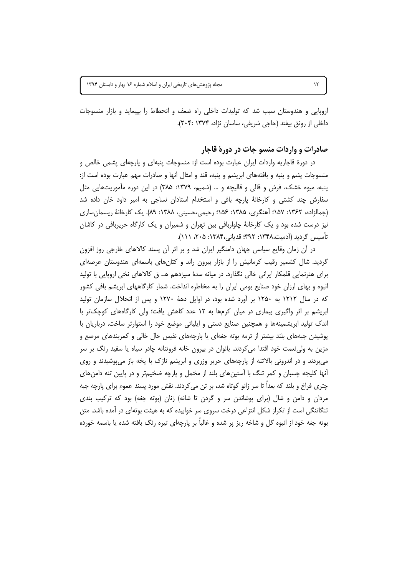اروپایی و هندوستان سبب شد که تولیدات داخلی راه ضعف و انحطاط را بپیماید و بازار منسوجات داخلي از رونق بيفتد (حاجي شريفي، ساسان نژاد، ۲۰۴: ۲۰۴:).

#### صادرات و واردات منسو جات در دورهٔ قاجار

در دورهٔ قاجاریه واردات ایران عبارت بوده است از: منسوجات پنبهای و پارچهای پشمی خالص و منسوجات پشم و پنبه و بافتههای ابریشم و پنبه، قند و امثال آنها و صادرات مهم عبارت بوده است از: پنبه، میوه خشک، فرش و قالی و قالیچه و … (شمیم، ۱۳۷۹: ۳۸۵) در این دوره مأموریتهایی مثل سفارش چند کشتی و کارخانهٔ پارچه بافی و استخدام استادان نساجی به امیر داود خان داده شد (جمالزاده، ۱۳۶۲: ۱۵۷؛ آهنگری، ۱۳۸۵: ۱۵۶؛ رحیمی،حسینی، ۱۳۸۸: ۸۹). یک کارخانهٔ ریسمان سازی نیز درست شده بود و یک کارخانهٔ چلواربافی بین تهران و شمیران و یک کارگاه حریربافی در کاشان تأسيس گرديد (آدميت،١٣٣٨: ٣٩٢: قدياني،١٣٨۴: ٢٠۵، ١١١).

در آن زمان وقایع سیاسی جهان دامنگیر ایران شد و بر اثر آن پسند کالاهای خارجی روز افزون گردید. شال کشمیر رقیب کرمانیش را از بازار بیرون راند و کتانهای باسمهای هندوستان عرصهای برای هنرنمایی قلمکار ایرانی خالی نگذارد. در میانه سدهٔ سیزدهم هـ. ق کالاهای نخی اروپایی با تولید انبوه و بهای ارزان خود صنایع بومی ایران را به مخاطره انداخت. شمار کارگاههای ابریشم بافی کشور که در سال ۱۲۱۲ به ۱۲۵۰ بر آورد شده بود، در اوایل دههٔ ۱۲۷۰ و پس از انحلال سازمان تولید ابریشم بر اثر واگیری بیماری در میان کرمها به ۱۲ عدد کاهش یافت؛ ولی کارگاههای کوچکتر با اندک تولید ابریشمینهها و همچنین صنایع دستی و اپلیاتی موضع خود را استوارتر ساخت. درباریان با پوشیدن جبههای بلند بیشتر از ترمه بوته جغهای یا پارچههای نفیس خال خالی و کمربندهای مرصع و مزین به ولی نعمت خود اقتدا می کردند. بانوان در بیرون خانه فروتنانه چادر سیاه یا سفید رنگ بر سر میبردند و در اندرونی بالاتنه از پارچههای حریر وزری و ابریشم نازک با یخه باز میپوشیدند و روی آنها کلیجه چسبان و کمر تنگ با آستینهای بلند از مخمل و پارچه ضخیمتر و در پایین تنه دامنهای چتری فراخ و بلند که بعداً تا سر زانو کوتاه شد، بر تن میکردند. نقش مورد پسند عموم برای پارچه جبه مردان و دامن و شال (برای پوشاندن سر و گردن تا شانه) زنان (بوته جغه) بود که ترکیب بندی تنگاتنگی است از تکراز شکل انتزاعی درخت سروی سر خوابیده که به هیئت بوتهای در آمده باشد. متن بوته جغه خود از انبوه گل و شاخه ریز پر شده و غالباً بر پارچهای تیره رنگ بافته شده یا باسمه خورده

 $\mathcal{N}$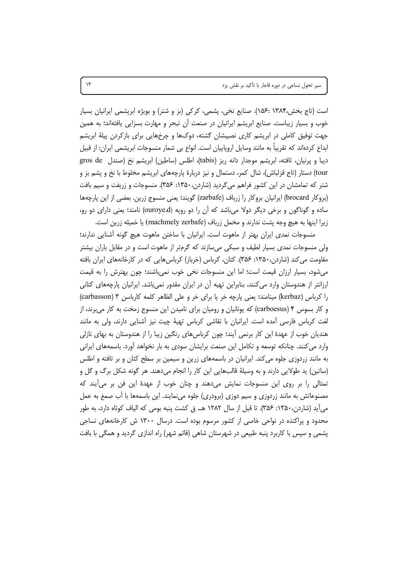است (تاج بخش،۱۳۸۴ :۱۵۶). صنایع نخی، پشمی، کرکی (بز و شتر) و بویژه ابریشمی ایرانیان بسیار خوب و بسیار زیباست. صنایع ابریشم ایرانیان در صنعت آن تبحر و مهارت بسزایی یافتهاند؛ به همین جهت توفیق کاملی در ابریشم کاری نصیبشان گشته، دوکها و چرخهایی برای بازکردن پیلهٔ ابریشم ابداع کردهاند که تقریباً به مانند وسایل اروپاییان است. انواع بی شمار منسوجات ابریشمی ایران: از قبیل ديبا و يرنيان، تافته، ابريشم موجدار دانه ريز (tabis)، اطلس (ساطين) ابريشم نخ (صندل gros de tour) دستار (تاج قزلباش)، شال کمر، دستمال و نیز دربارهٔ پارچههای ابریشم مخلوط با نخ و پشم بز و شتر که تمامشان در این کشور فراهم می گردید (شاردن،۱۳۵۰: ۳۵۶). منسوجات و زربفت و سیم بافت (بروكار brocard) ايرانيان بروكار را زرباف (zarbafe) گويند؛ يعني منسوج زرين. بعضي از اين پارچهها ساده و گوناگون و برخی دیگر دولا میباشد که آن را دو رویه (ouroye،d) نامند؛ یعنی دارای دو رو، زيرا اينها به هيچ وجه پشت ندارند و مخمل زرباف (machmely zerbafe) يا خميله زرين است.

منسوجات نمدی ایران بهتر از ماهوت است. ایرانیان با ساختن ماهوت هیچ گونه أشنایی ندارند؛ ولی منسوجات نمدی بسیار لطیف و سبکی میسازند که گرمتر از ماهوت است و در مقابل باران بیشتر مقاومت می کند (شاردن،۱۳۵۰: ۳۵۶). کتان، کرباس (خرباز) کرباس هایی که در کارخانههای ایران بافته می شود، بسیار ارزان قیمت است؛ اما این منسوجات نخی خوب نمی باشند؛ چون بهترش را به قیمت ارزانتر از هندوستان وارد می کنند، بنابراین تهیه آن در ایران مقدور نمیباشد. ایرانیان پارچههای کتانی را کرباس (kerbaz) مینامند؛ یعنی پارچه خر یا برای خر و علی الظاهر کلمه کارباسن ۳ (carbasson) و کار بسوس ۴ (carboesus) که یونانیان و رومیان برای نامیدن این منسوج زمخت به کار می برند، از لغت كرباس فارسى أمده است. ايرانيان با نقاشى كرباس تهيهٔ چيت نيز أشنايي دارند، ولي به مانند هندیان خوب از عهدهٔ این کار برنمی آیند؛ چون کرباسهای رنگین زیبا را از هندوستان به بهای نازلی وارد می کنند. چنانکه توسعه و تکامل این صنعت برایشان سودی به بار نخواهد آورد. باسمههای ایرانی به مانند زردوزی جلوه می کند. ایرانیان در باسمههای زرین و سیمین بر سطح کتان و بر تافته و اطلس (ساتین) پد طولایی دارند و به وسیلهٔ قالبهایی این کار را انجام میدهند. هر گونه شکل برگ و گل و تمثالی را بر روی این منسوجات نمایش میدهند و چنان خوب از عهدهٔ این فن بر میآیند که مصنوعاتش به مانند زردوزی و سیم دوزی (برودری) جلوه مینمایند. این باسمهها با آب صمغ به عمل می آید (شاردن،۱۳۵۰: ۳۵۶). تا قبل از سال ۱۲۸۲ هـ. ق کشت پنبه بومی که الیاف کوتاه دارد، به طور محدود و پراکنده در نواحی خاصی از کشور مرسوم بوده است. درسال ۱۳۰۰ ش کارخانههای نساجی پشمی و سپس با کاربرد پنبه طبیعی در شهرستان شاهی (قائم شهر) راه اندازی گردید و همگی با بافت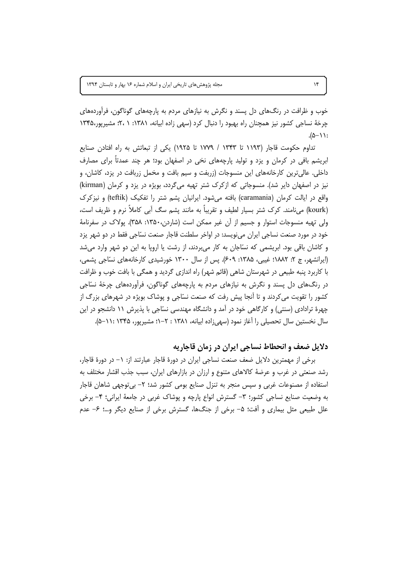خوب و ظرافت در رنگهای دل پسند و نگرش به نیازهای مردم به پارچههای گوناگون، فرآوردههای چرخهٔ نساجی کشور نیز همچنان راه بهبود را دنبال کرد (سهی زاده ایپانه، ۱۳۸۱: ۲، ۲، مشیرپور،۱۳۴۵  $.(\triangle - \wedge)$ :

تداوم حکومت قاجار (۱۱۹۳ تا ۱۳۴۳ / ۱۷۷۹ تا ۱۹۲۵) یکی از تبعاتش به راه افتادن صنایع ابریشم بافی در کرمان و یزد و تولید پارچههای نخی در اصفهان بود؛ هر چند عمدتاً برای مصارف داخلی. عالی ترین کارخانههای این منسوجات (زربفت و سیم بافت و مخمل زربافت در یزد، کاشان، و نیز در اصفهان دایر شد). منسوجاتی که ازکرک شتر تهیه می گردد، بویژه در یزد و کرمان (kirman) واقع در ایالت کرمان (caramania) بافته میشود. ایرانیان پشم شتر را تفکیک (teftik) و نیزکرک (kourk) میiامند. کرک شتر بسیار لطیف و تقریباً به مانند پشم سگ آبی کاملاً نرم و ظریف است، ولی تهیه منسوجات استوار و جسیم از آن غیر ممکن است (شاردن،۱۳۵۰: ۳۵۸). پولاک در سفرنامهٔ خود در مورد صنعت نساجی ایران میiویسد: در اواخر سلطنت قاجار صنعت نسّاجی فقط در دو شهر یزد و کاشان باقی بود. ابریشمی که نسّاجان به کار میبردند، از رشت یا اروپا به این دو شهر وارد میشد (ایرانشهر، ج ۲: ۱۸۸۲؛ غیبی، ۱۳۸۵: ۶۰۹). پس از سال ۱۳۰۰ خورشیدی کارخانههای نسّاجی پشمی، با کاربرد پنبه طبیعی در شهرستان شاهی (قائم شهر) راه اندازی گردید و همگی با بافت خوب و ظرافت در رنگهای دل پسند و نگرش به نیازهای مردم به پارچههای گوناگون، فرآوردههای چرخهٔ نسّاجی کشور را تقویت میکردند و تا آنجا پیش رفت که صنعت نسّاجی و پوشاک بویژه در شهرهای بزرگ از چهرهٔ ترادادی (سنتی) و کارگاهی خود در آمد و دانشگاه مهندسی نسّاجی با پذیرش ۱۱ دانشجو در این سال نخستین سال تحصیلی را آغاز نمود (سهی;اده ابیانه، ۱۳۸۱ : ۲–۱؛ مشیریور، ۱۳۴۵ : ۱۱–۵).

## دلایل ضعف و انحطاط نساجی ایران در زمان قاجاریه

برخی از مهمترین دلایل ضعف صنعت نساجی ایران در دورهٔ قاجار عبارتند از: ۱– در دورهٔ قاجار، رشد صنعتی در غرب و عرضهٔ کالاهای متنوع و ارزان در بازارهای ایران، سبب جذب اقشار مختلف به استفاده از مصنوعات غربی و سپس منجر به تنزل صنایع بومی کشور شد؛ ۲– بی توجهی شاهان قاجار به وضعیت صنایع نساجی کشور؛ ٣- گسترش انواع پارچه و پوشاک غربی در جامعهٔ ایرانی؛ ۴- برخی علل طبیعی مثل بیماری و آفت؛ ۵- برخی از جنگها، گسترش برخی از صنایع دیگر و…؛ ۶- عدم

 $\mathcal{N}$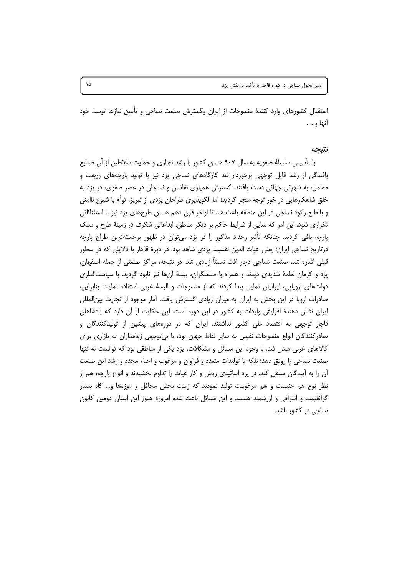استقبال كشورهاى وارد كنندة منسوجات از ايران وگسترش صنعت نساجى و تأمين نيازها توسط خود أنها و... .

#### نتىحە

با تأسیس سلسلهٔ صفویه به سال ۹۰۷ هـ. ق کشور با رشد تجاری و حمایت سلاطین از آن صنایع بافندگی از رشد قابل توجهی برخوردار شد کارگاههای نساجی یزد نیز با تولید پارچههای زربفت و مخمل، به شهرتی جهانی دست یافتند. گسترش همیاری نقاشان و نساجان در عصر صفوی، در یزد به خلق شاهکارهایی در خور توجه منجر گردید؛ اما الگوپذیری طراحان یزدی از تبریز، توأم با شیوع ناامنی و بالطبع ركود نساجي در اين منطقه باعث شد تا اواخر قرن دهم هـ. ق طرحهاي يزد نيز با استثنائاتي تکراری شود. این امر که نمایی از شرایط حاکم بر دیگر مناطق، ابداعاتی شگرف در زمینهٔ طرح و سبک پارچه بافی گردید. چنانکه تأثیر رخداد مذکور را در یزد میتوان در ظهور برجستهترین طراح پارچه درتاریخ نساجی ایران؛ یعنی غیاث الدین نقشبند یزدی شاهد بود. در دورهٔ قاجار با دلایلی که در سطور قبلی اشاره شد، صنعت نساجی دچار افت نسبتاً زیادی شد. در نتیجه، مراکز صنعتی از جمله اصفهان، یزد و کرمان لطمهٔ شدیدی دیدند و همراه با صنعتگران، پیشهٔ آنها نیز نابود گردید. با سیاستگذاری دولتهای اروپایی، ایرانیان تمایل پیدا کردند که از منسوجات و البسهٔ غربی استفاده نمایند؛ بنابراین، صادرات اروپا در این بخش به ایران به میزان زیادی گسترش یافت. آمار موجود از تجارت بین|لمللی ایران نشان دهندهٔ افزایش واردات به کشور در این دوره است. این حکایت از آن دارد که پادشاهان قاجار توجهی به اقتصاد ملی کشور نداشتند. ایران که در دورههای پیشین از تولیدکنندگان و صادرکنندگان انواع منسوجات نفیس به سایر نقاط جهان بود، با بیتوجهی زمامداران به بازاری برای کالاهای غربی مبدل شد. با وجود این مسائل و مشکلات، یزد یکی از مناطقی بود که توانست نه تنها صنعت نساجی را رونق دهد؛ بلکه با تولیدات متعدد و فراوان و مرغوب و احیاء مجدد و رشد این صنعت ان را به ایندگان منتقل کند. در یزد اساتیدی روش و کار غیاث را تداوم بخشیدند و انواع پارچه، هم از نظر نوع هم جنسیت و هم مرغوبیت تولید نمودند که زینت بخش محافل و موزهها و… گاه بسیار گرانقیمت و اشرافی و ارزشمند هستند و این مسائل باعث شده امروزه هنوز این استان دومین کانون نساجی در کشور باشد.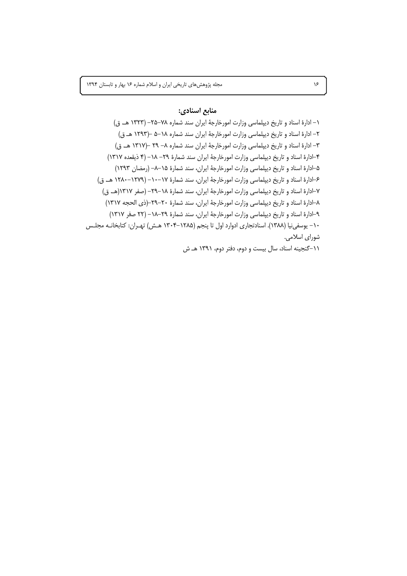## منابع اسنادي:

١- ادارة اسناد و تاريخ ديپلماسي وزارت امورخارجة ايران سند شماره ٧٨-٢۵- (١٣٢٣ هـ. ق) ٢- ادارهٔ اسناد و تاریخ دیپلماسی وزارت امورخارجهٔ ایران سند شماره ١٨-۵ –(١٢٩٣ هـ ق) ٣- ادارهٔ اسناد و تاریخ دیپلماسی وزارت امورخارجهٔ ایران سند شماره ٨- ٢٩ -(١٣١٧ هـ. ق) ۴–ادارهٔ اسناد و تاریخ دیپلماسی وزارت امورخارجهٔ ایران سند شمارهٔ ۲۹– ۱۸– (۴ ذیقعده ۱۳۱۷) ۵–ادارهٔ اسناد و تاریخ دیپلماسی وزارت امورخارجهٔ ایران، سند شمارهٔ ۱۵–۸– (رمضان ۱۲۹۳) ۶–ادارهٔ اسناد و تاریخ دیپلماسی وزارت امورخارجهٔ ایران، سند شمارهٔ ۱۷–۱۰– (۱۲۷۹–۱۲۸۰ هـ. ق) ٧–ادارهٔ اسناد و تاریخ دیپلماسی وزارت امورخارجهٔ ایران، سند شمارهٔ ١٨–٢٩– (صفر ١٣١٧(هـ. ق) ٨–ادارهٔ اسناد و تاریخ دیپلماسی وزارت امورخارجهٔ ایران، سند شمارهٔ ٢٠–٢٩–(ذی الحجه ١٣١٧) ٩-ادارة اسناد و تاريخ ديپلماسي وزارت امورخارجة ايران، سند شمارة ٢٩-١٨- (٢٢ صفر ١٣١٧) ۱۰- یوسفی نیا (۱۳۸۸). اسنادتجاری ادوارد اول تا پنجم (۱۲۸۵–۱۳۰۴ هـش) تهـران: کتابخانـه مجلـس شورای اسلامی.

١١-گنجينه اسناد، سال بيست و دوم، دفتر دوم، ١٣٩١ هـ ش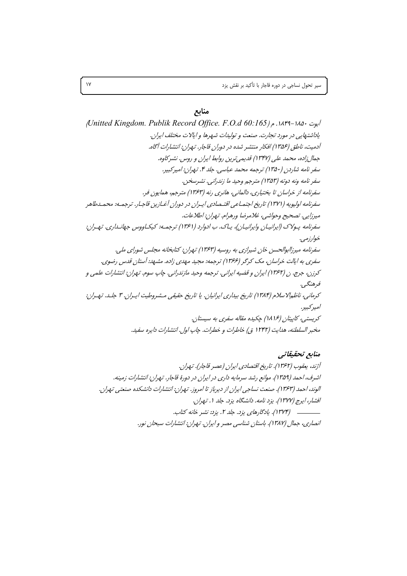سیر تحول نساجی در دوره قاجار با تأکید بر نقش یزد

## منابع

آيوت ١٨٤٠-١٨٤٩. م ( Mitted Kingdom. Publik Record Office. F.O.d 60:165 یاداشتهایی در مورد تجارت. صنعت و تولیدات شهرها و ایالات مختلف ایران. آدمیت، ناطق (۱۳۵۶) افکار منتشر شده در دوران قاجار. تپران: انتشارات آگاه. جمال زاده، محمد على (۱۳۴۷) قديمي ترين روابط ايران و روس. نشر كاوه. سفر نامه شاردن (۱۳۵۰) ترجمه محمد عباسی. جلد ۴. تهران: امیرکبیر. سفر نامه ونه دوته (۱۳۵۳) مترجم وحید ما زندرانی. نشرسخن. سفرنامه از خراسان تا بختیاری، دالمانی، هانری رنه (۱۳۶۳) مترجم، همایون فر. سفرنامه اولیویه (۱۳۷۱) تاریخ اجتمـاعی اقتـصادی ایـران در دوران آغـازین قاجـار. ترجمـه: محمـدطاهر ميرزايي. تصحيح وحواشي، غلامرضا ورهرام. تهران: اطلاعات. سفرنامه پولاک (ایرانیـان وایرانیـان)، یـاک. ب ادوارد (۱۳۶۱) ترجمـه: کیکـاووس جهانـداری. تهـران: خوارزمه . سفرنامه میرزاابوالحسن خان شیرازی به روسیه (۱۳۶۳) تهران: کتابخانه مجلس شورای ملی. سفري به ايالت خراسان، مک کرگر (۱۳۶۶) ترجمه: مجيد مهدي زاده. مشبهد: آستان قدس رضوي. كرزن، جرج. ن (١٣۶٢) ايران و قضيه ايراني. ترجمه وحيد مازندراني. چاپ سوم. تهران: انتشارات علمي و فرهنگے ، کرمانی، ناظمالا سلام (۱۳۸۴) تاریخ بیداری ایرانیان. یا تاریخ حقیقی مـشروطیت ایـران. ۳ جلـد. تـهـران: امپرکېيږ. کریستی، کاییتان (۱۶/ ۱۸) چکیده مقاله سفری به سیستان. مخبر السلطنه، هدايت (۱۲۴۲ ق) خاطرات و خطرات. چاپ اول. انتشارات دايره سفيد.

منابع تحقيقاتي آژند، پعقوب (۱۳۶۲). تاریخ اقتصادی ایران (عصر قاجار). تپران. اشرف، احمد (۱۳۵۹). موانع رشد سرمایه داری در ایران در دورهٔ قاجار. تهران: انتشارات زمینه. الوند، احمد (۱۳۶۳). صنعت نساجی ایران از دیرباز تا امروز. تهران: انتشارات دانشکده صنعتبی تهران. افشار، ایرج (۱۳۷۷). یزد نامه. دانشگاه یزد. جلد ۱. تهران. انصاری، جمال (۱۳۸۷). باستان شناسی مصر و ایران. تهران: انتشارات سبحان نور.

 $\gamma$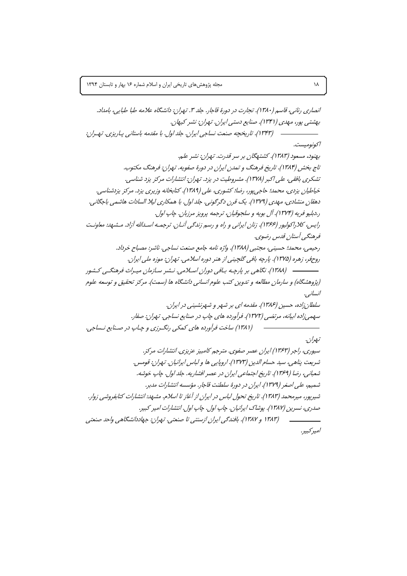$\lambda\lambda$